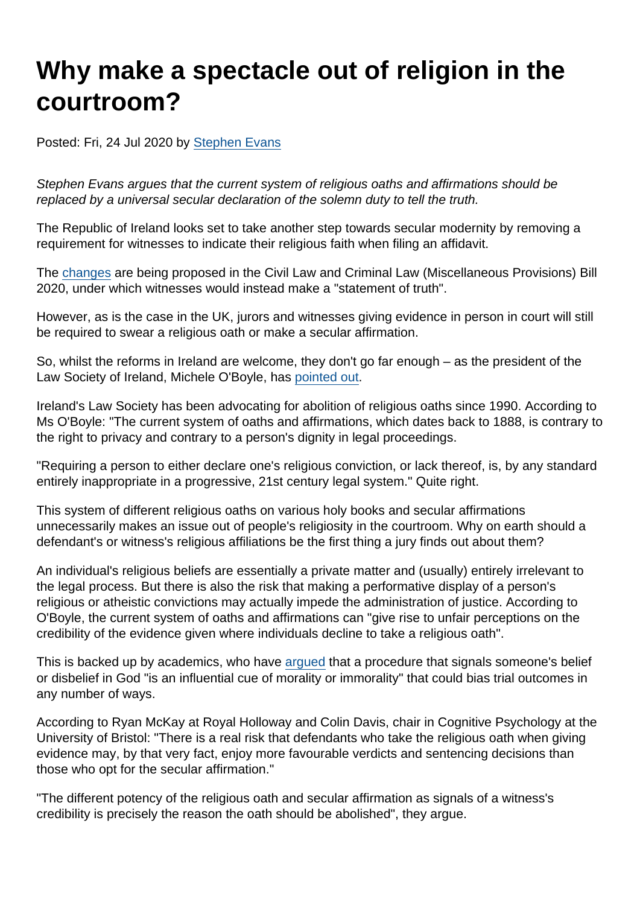## Why make a spectacle out of religion in the courtroom?

Posted: Fri, 24 Jul 2020 by [Stephen Evans](https://www.secularism.org.uk/opinion/authors/845)

Stephen Evans argues that the current system of religious oaths and affirmations should be replaced by a universal secular declaration of the solemn duty to tell the truth.

The Republic of Ireland looks set to take another step towards secular modernity by removing a requirement for witnesses to indicate their religious faith when filing an affidavit.

The [changes](https://www.irishtimes.com/news/crime-and-law/embarrassing-system-of-oaths-and-affirmations-to-be-abolished-1.4310299) are being proposed in the Civil Law and Criminal Law (Miscellaneous Provisions) Bill 2020, under which witnesses would instead make a "statement of truth".

However, as is the case in the UK, jurors and witnesses giving evidence in person in court will still be required to swear a religious oath or make a secular affirmation.

So, whilst the reforms in Ireland are welcome, they don't go far enough – as the president of the Law Society of Ireland, Michele O'Boyle, has [pointed out.](https://www.lawsociety.ie/gazette/top-stories/law-society-welcomes-oaths-change-plan/)

Ireland's Law Society has been advocating for abolition of religious oaths since 1990. According to Ms O'Boyle: "The current system of oaths and affirmations, which dates back to 1888, is contrary to the right to privacy and contrary to a person's dignity in legal proceedings.

"Requiring a person to either declare one's religious conviction, or lack thereof, is, by any standard entirely inappropriate in a progressive, 21st century legal system." Quite right.

This system of different religious oaths on various holy books and secular affirmations unnecessarily makes an issue out of people's religiosity in the courtroom. Why on earth should a defendant's or witness's religious affiliations be the first thing a jury finds out about them?

An individual's religious beliefs are essentially a private matter and (usually) entirely irrelevant to the legal process. But there is also the risk that making a performative display of a person's religious or atheistic convictions may actually impede the administration of justice. According to O'Boyle, the current system of oaths and affirmations can "give rise to unfair perceptions on the credibility of the evidence given where individuals decline to take a religious oath".

This is backed up by academics, who have [argued](https://theconversation.com/abolish-the-oath-moral-prejudice-against-atheists-may-bias-courtroom-decisions-82230) that a procedure that signals someone's belief or disbelief in God "is an influential cue of morality or immorality" that could bias trial outcomes in any number of ways.

According to Ryan McKay at Royal Holloway and Colin Davis, chair in Cognitive Psychology at the University of Bristol: "There is a real risk that defendants who take the religious oath when giving evidence may, by that very fact, enjoy more favourable verdicts and sentencing decisions than those who opt for the secular affirmation."

"The different potency of the religious oath and secular affirmation as signals of a witness's credibility is precisely the reason the oath should be abolished", they argue.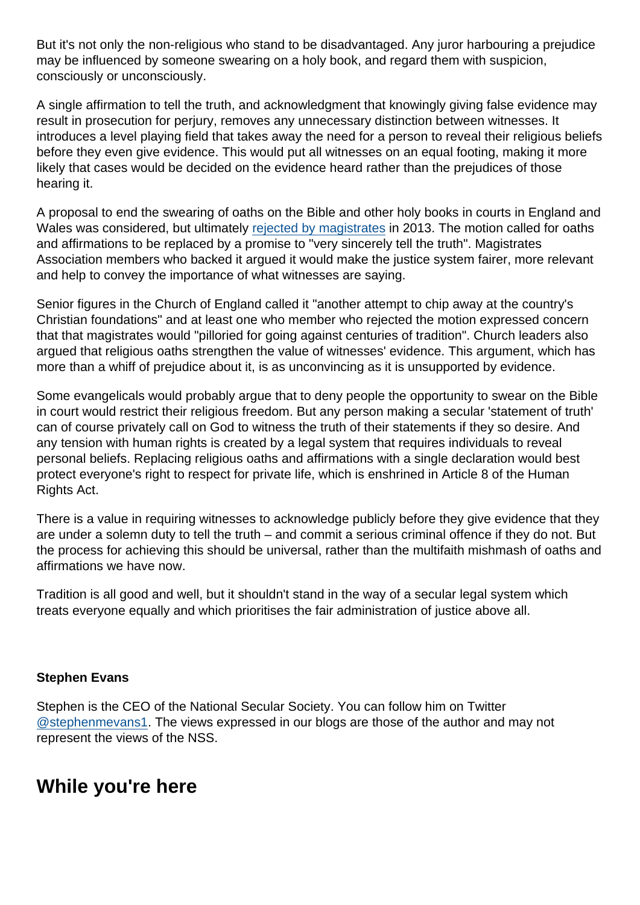But it's not only the non-religious who stand to be disadvantaged. Any juror harbouring a prejudice may be influenced by someone swearing on a holy book, and regard them with suspicion, consciously or unconsciously.

A single affirmation to tell the truth, and acknowledgment that knowingly giving false evidence may result in prosecution for perjury, removes any unnecessary distinction between witnesses. It introduces a level playing field that takes away the need for a person to reveal their religious beliefs before they even give evidence. This would put all witnesses on an equal footing, making it more likely that cases would be decided on the evidence heard rather than the prejudices of those hearing it.

A proposal to end the swearing of oaths on the Bible and other holy books in courts in England and Wales was considered, but ultimately [rejected by magistrates](https://www.secularism.org.uk/news/2013/10/oath-taking-debated-in-england-wales-and-ireland) in 2013. The motion called for oaths and affirmations to be replaced by a promise to "very sincerely tell the truth". Magistrates Association members who backed it argued it would make the justice system fairer, more relevant and help to convey the importance of what witnesses are saying.

Senior figures in the Church of England called it "another attempt to chip away at the country's Christian foundations" and at least one who member who rejected the motion expressed concern that that magistrates would "pilloried for going against centuries of tradition". Church leaders also argued that religious oaths strengthen the value of witnesses' evidence. This argument, which has more than a whiff of prejudice about it, is as unconvincing as it is unsupported by evidence.

Some evangelicals would probably argue that to deny people the opportunity to swear on the Bible in court would restrict their religious freedom. But any person making a secular 'statement of truth' can of course privately call on God to witness the truth of their statements if they so desire. And any tension with human rights is created by a legal system that requires individuals to reveal personal beliefs. Replacing religious oaths and affirmations with a single declaration would best protect everyone's right to respect for private life, which is enshrined in Article 8 of the Human Rights Act.

There is a value in requiring witnesses to acknowledge publicly before they give evidence that they are under a solemn duty to tell the truth – and commit a serious criminal offence if they do not. But the process for achieving this should be universal, rather than the multifaith mishmash of oaths and affirmations we have now.

Tradition is all good and well, but it shouldn't stand in the way of a secular legal system which treats everyone equally and which prioritises the fair administration of justice above all.

## Stephen Evans

Stephen is the CEO of the National Secular Society. You can follow him on Twitter [@stephenmevans1.](https://twitter.com/stephenmevans1?lang=en-gb) The views expressed in our blogs are those of the author and may not represent the views of the NSS.

## While you're here